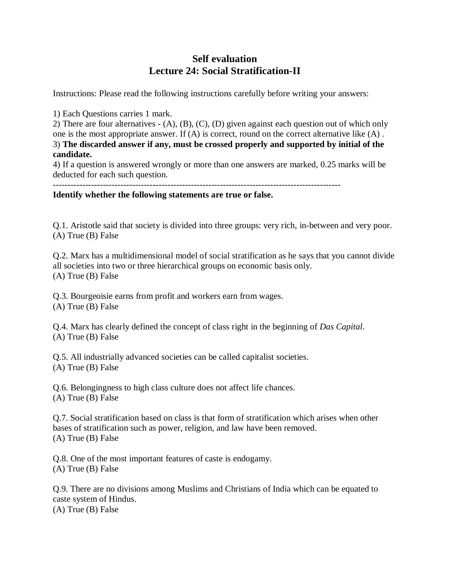## **Self evaluation Lecture 24: Social Stratification-II**

Instructions: Please read the following instructions carefully before writing your answers:

1) Each Questions carries 1 mark.

2) There are four alternatives - (A), (B), (C), (D) given against each question out of which only one is the most appropriate answer. If (A) is correct, round on the correct alternative like (A) . 3) **The discarded answer if any, must be crossed properly and supported by initial of the candidate.**

4) If a question is answered wrongly or more than one answers are marked, 0.25 marks will be deducted for each such question.

--------------------------------------------------------------------------------------------------

**Identify whether the following statements are true or false.** 

Q.1. Aristotle said that society is divided into three groups: very rich, in-between and very poor. (A) True (B) False

Q.2. Marx has a multidimensional model of social stratification as he says that you cannot divide all societies into two or three hierarchical groups on economic basis only. (A) True (B) False

Q.3. Bourgeoisie earns from profit and workers earn from wages. (A) True (B) False

Q.4. Marx has clearly defined the concept of class right in the beginning of *Das Capital*. (A) True (B) False

Q.5. All industrially advanced societies can be called capitalist societies. (A) True (B) False

Q.6. Belongingness to high class culture does not affect life chances. (A) True (B) False

Q.7. Social stratification based on class is that form of stratification which arises when other bases of stratification such as power, religion, and law have been removed. (A) True (B) False

Q.8. One of the most important features of caste is endogamy. (A) True (B) False

Q.9. There are no divisions among Muslims and Christians of India which can be equated to caste system of Hindus. (A) True (B) False